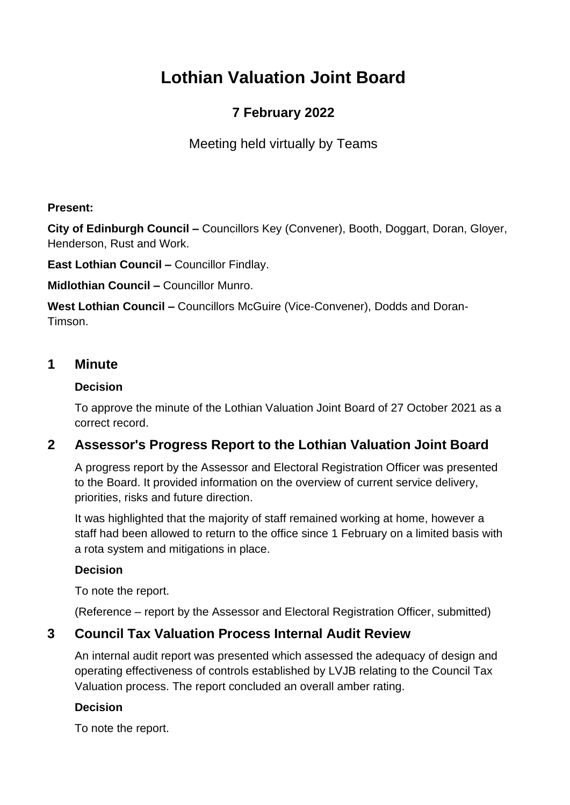# **Lothian Valuation Joint Board**

# **7 February 2022**

Meeting held virtually by Teams

### **Present:**

**City of Edinburgh Council –** Councillors Key (Convener), Booth, Doggart, Doran, Gloyer, Henderson, Rust and Work.

**East Lothian Council –** Councillor Findlay.

**Midlothian Council –** Councillor Munro.

**West Lothian Council –** Councillors McGuire (Vice-Convener), Dodds and Doran-Timson.

## **1 Minute**

### **Decision**

To approve the minute of the Lothian Valuation Joint Board of 27 October 2021 as a correct record.

# **2 Assessor's Progress Report to the Lothian Valuation Joint Board**

A progress report by the Assessor and Electoral Registration Officer was presented to the Board. It provided information on the overview of current service delivery, priorities, risks and future direction.

It was highlighted that the majority of staff remained working at home, however a staff had been allowed to return to the office since 1 February on a limited basis with a rota system and mitigations in place.

### **Decision**

To note the report.

(Reference – report by the Assessor and Electoral Registration Officer, submitted)

## **3 Council Tax Valuation Process Internal Audit Review**

An internal audit report was presented which assessed the adequacy of design and operating effectiveness of controls established by LVJB relating to the Council Tax Valuation process. The report concluded an overall amber rating.

### **Decision**

To note the report.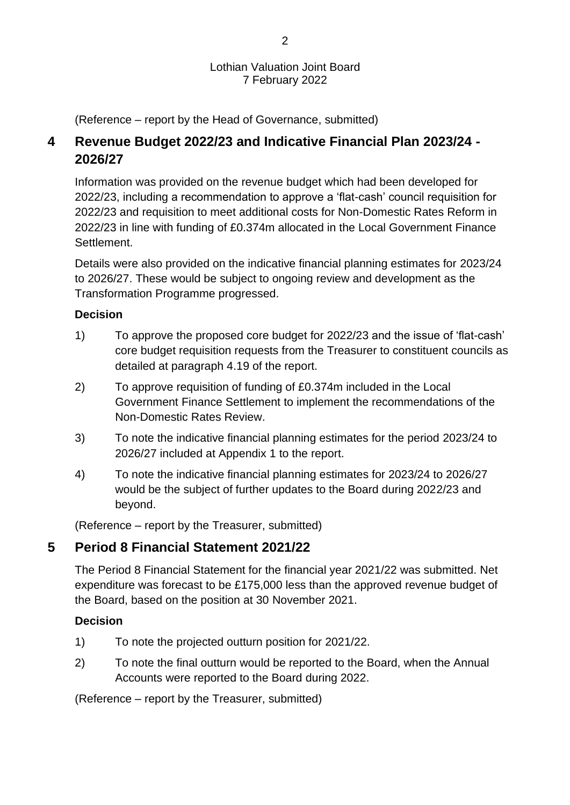#### Lothian Valuation Joint Board 7 February 2022

(Reference – report by the Head of Governance, submitted)

# **4 Revenue Budget 2022/23 and Indicative Financial Plan 2023/24 - 2026/27**

Information was provided on the revenue budget which had been developed for 2022/23, including a recommendation to approve a 'flat-cash' council requisition for 2022/23 and requisition to meet additional costs for Non-Domestic Rates Reform in 2022/23 in line with funding of £0.374m allocated in the Local Government Finance Settlement.

Details were also provided on the indicative financial planning estimates for 2023/24 to 2026/27. These would be subject to ongoing review and development as the Transformation Programme progressed.

### **Decision**

- 1) To approve the proposed core budget for 2022/23 and the issue of 'flat-cash' core budget requisition requests from the Treasurer to constituent councils as detailed at paragraph 4.19 of the report.
- 2) To approve requisition of funding of £0.374m included in the Local Government Finance Settlement to implement the recommendations of the Non-Domestic Rates Review.
- 3) To note the indicative financial planning estimates for the period 2023/24 to 2026/27 included at Appendix 1 to the report.
- 4) To note the indicative financial planning estimates for 2023/24 to 2026/27 would be the subject of further updates to the Board during 2022/23 and beyond.

(Reference – report by the Treasurer, submitted)

## **5 Period 8 Financial Statement 2021/22**

The Period 8 Financial Statement for the financial year 2021/22 was submitted. Net expenditure was forecast to be £175,000 less than the approved revenue budget of the Board, based on the position at 30 November 2021.

### **Decision**

- 1) To note the projected outturn position for 2021/22.
- 2) To note the final outturn would be reported to the Board, when the Annual Accounts were reported to the Board during 2022.

(Reference – report by the Treasurer, submitted)